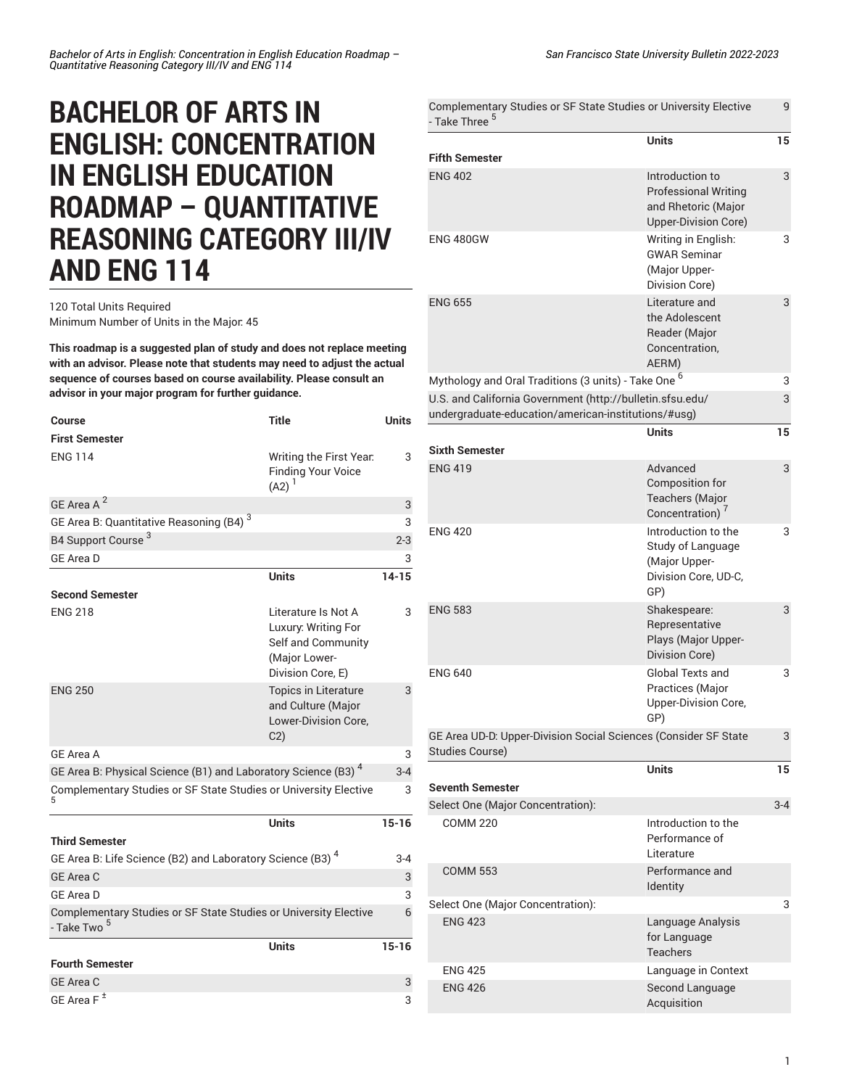## **BACHELOR OF ARTS IN ENGLISH: CONCENTRATION IN ENGLISH EDUCATION ROADMAP – QUANTITATIVE REASONING CATEGORY III/IV AND ENG 114**

## 120 Total Units Required Minimum Number of Units in the Major: 45

**This roadmap is a suggested plan of study and does not replace meeting with an advisor. Please note that students may need to adjust the actual sequence of courses based on course availability. Please consult an advisor in your major program for further guidance.**

| Course                                                                                      | <b>Title</b>                                                                                           | <b>Units</b> |
|---------------------------------------------------------------------------------------------|--------------------------------------------------------------------------------------------------------|--------------|
| <b>First Semester</b>                                                                       |                                                                                                        |              |
| <b>ENG 114</b>                                                                              | Writing the First Year.<br><b>Finding Your Voice</b><br>$(A2)^{1}$                                     | 3            |
| GE Area A <sup>2</sup>                                                                      |                                                                                                        | 3            |
| GE Area B: Quantitative Reasoning (B4) <sup>3</sup>                                         |                                                                                                        | 3            |
| B4 Support Course <sup>3</sup>                                                              |                                                                                                        | $2 - 3$      |
| <b>GE Area D</b>                                                                            |                                                                                                        | 3            |
|                                                                                             | <b>Units</b>                                                                                           | $14 - 15$    |
| <b>Second Semester</b>                                                                      |                                                                                                        |              |
| <b>ENG 218</b>                                                                              | Literature Is Not A<br>Luxury: Writing For<br>Self and Community<br>(Major Lower-<br>Division Core, E) | 3            |
| <b>ENG 250</b>                                                                              | <b>Topics in Literature</b><br>and Culture (Major<br>Lower-Division Core,<br>C2)                       | 3            |
| <b>GE Area A</b>                                                                            |                                                                                                        | 3            |
| GE Area B: Physical Science (B1) and Laboratory Science (B3) <sup>4</sup>                   |                                                                                                        | $3 - 4$      |
| Complementary Studies or SF State Studies or University Elective<br>5                       |                                                                                                        | 3            |
|                                                                                             | <b>Units</b>                                                                                           | $15 - 16$    |
| <b>Third Semester</b>                                                                       |                                                                                                        |              |
| GE Area B: Life Science (B2) and Laboratory Science (B3) <sup>4</sup>                       |                                                                                                        | $3 - 4$      |
| GE Area C                                                                                   |                                                                                                        | 3            |
| GE Area D                                                                                   |                                                                                                        | 3            |
| Complementary Studies or SF State Studies or University Elective<br>- Take Two <sup>5</sup> |                                                                                                        | 6            |
|                                                                                             | <b>Units</b>                                                                                           | $15 - 16$    |
| <b>Fourth Semester</b>                                                                      |                                                                                                        |              |
| <b>GE Area C</b>                                                                            |                                                                                                        | 3            |
| GE Area $F^{\pm}$                                                                           |                                                                                                        | 3            |

| Complementary Studies or SF State Studies or University Elective<br>- Take Three <sup>5</sup>                                                                                       |                                                                                               |         |
|-------------------------------------------------------------------------------------------------------------------------------------------------------------------------------------|-----------------------------------------------------------------------------------------------|---------|
| <b>Fifth Semester</b>                                                                                                                                                               | <b>Units</b>                                                                                  | 15      |
| <b>ENG 402</b>                                                                                                                                                                      | Introduction to<br><b>Professional Writing</b><br>and Rhetoric (Major<br>Upper-Division Core) | 3       |
| <b>ENG 480GW</b>                                                                                                                                                                    | Writing in English:<br><b>GWAR Seminar</b><br>(Major Upper-<br>Division Core)                 | 3       |
| <b>ENG 655</b>                                                                                                                                                                      | Literature and<br>the Adolescent<br>Reader (Major<br>Concentration,<br>AERM)                  | 3       |
| Mythology and Oral Traditions (3 units) - Take One <sup>6</sup><br>U.S. and California Government (http://bulletin.sfsu.edu/<br>undergraduate-education/american-institutions/#usg) |                                                                                               | 3<br>3  |
|                                                                                                                                                                                     | Units                                                                                         | 15      |
| <b>Sixth Semester</b>                                                                                                                                                               |                                                                                               |         |
| <b>ENG 419</b>                                                                                                                                                                      | Advanced<br>Composition for<br><b>Teachers (Major</b><br>Concentration)                       | 3       |
| <b>ENG 420</b>                                                                                                                                                                      | Introduction to the<br>Study of Language<br>(Major Upper-<br>Division Core, UD-C,<br>GP)      | 3       |
| <b>ENG 583</b>                                                                                                                                                                      | Shakespeare:<br>Representative<br>Plays (Major Upper-<br>Division Core)                       | 3       |
| <b>ENG 640</b>                                                                                                                                                                      | Global Texts and<br>Practices (Major<br><b>Upper-Division Core,</b><br>GP)                    | 3       |
| GE Area UD-D: Upper-Division Social Sciences (Consider SF State<br>3<br>Studies Course)                                                                                             |                                                                                               |         |
|                                                                                                                                                                                     | <b>Units</b>                                                                                  | 15      |
| <b>Seventh Semester</b>                                                                                                                                                             |                                                                                               | $3 - 4$ |
| Select One (Major Concentration):<br><b>COMM 220</b>                                                                                                                                | Introduction to the<br>Performance of<br>Literature                                           |         |
| <b>COMM 553</b>                                                                                                                                                                     | Performance and<br>Identity                                                                   |         |
| Select One (Major Concentration):                                                                                                                                                   |                                                                                               | 3       |
| <b>ENG 423</b>                                                                                                                                                                      | Language Analysis<br>for Language<br><b>Teachers</b>                                          |         |
| <b>ENG 425</b>                                                                                                                                                                      | Language in Context                                                                           |         |
| <b>ENG 426</b>                                                                                                                                                                      | Second Language<br>Acquisition                                                                |         |